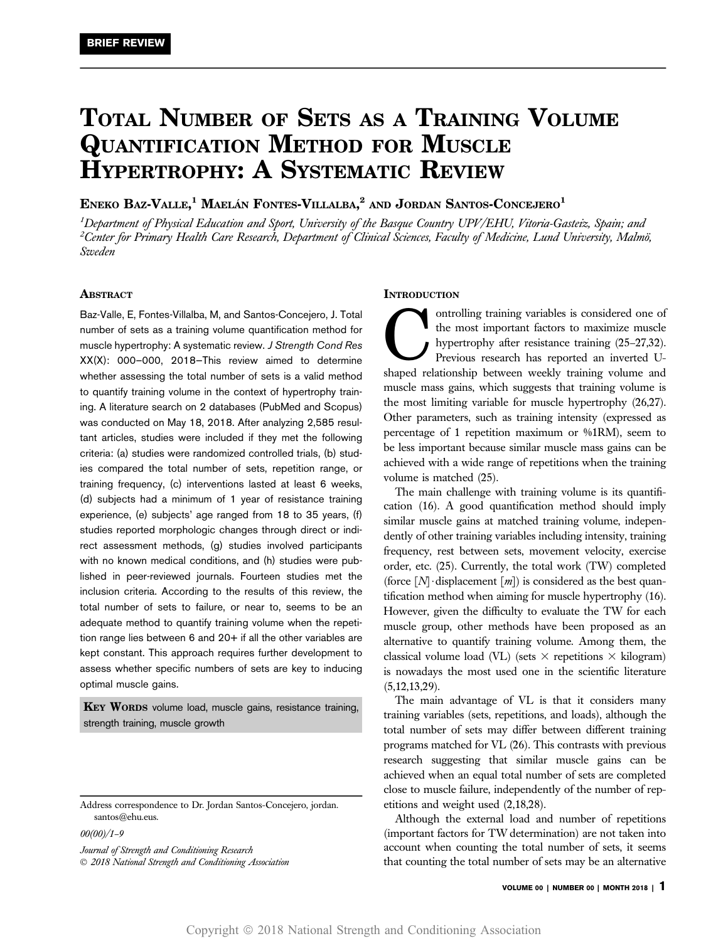# TOTAL NUMBER OF SETS AS A TRAINING VOLUME QUANTIFICATION METHOD FOR MUSCLE HYPERTROPHY: A SYSTEMATIC REVIEW

# ENEKO BAZ-VALLE, $^1$  Maelán Fontes-Villalba, $^2$  and Jordan Santos-Concejero $^1$

<sup>1</sup>Department of Physical Education and Sport, University of the Basque Country UPV/EHU, Vitoria-Gasteiz, Spain; and  $^2$ Center for Primary Health Care Research, Department of Clinical Sciences, Faculty of Medicine, Lund University, Malmö, Sweden

# ABSTRACT

Baz-Valle, E, Fontes-Villalba, M, and Santos-Concejero, J. Total number of sets as a training volume quantification method for muscle hypertrophy: A systematic review. J Strength Cond Res XX(X): 000–000, 2018—This review aimed to determine whether assessing the total number of sets is a valid method to quantify training volume in the context of hypertrophy training. A literature search on 2 databases (PubMed and Scopus) was conducted on May 18, 2018. After analyzing 2,585 resultant articles, studies were included if they met the following criteria: (a) studies were randomized controlled trials, (b) studies compared the total number of sets, repetition range, or training frequency, (c) interventions lasted at least 6 weeks, (d) subjects had a minimum of 1 year of resistance training experience, (e) subjects' age ranged from 18 to 35 years, (f) studies reported morphologic changes through direct or indirect assessment methods, (g) studies involved participants with no known medical conditions, and (h) studies were published in peer-reviewed journals. Fourteen studies met the inclusion criteria. According to the results of this review, the total number of sets to failure, or near to, seems to be an adequate method to quantify training volume when the repetition range lies between 6 and 20+ if all the other variables are kept constant. This approach requires further development to assess whether specific numbers of sets are key to inducing optimal muscle gains.

KEY WORDS volume load, muscle gains, resistance training, strength training, muscle growth

00(00)/1–9

Journal of Strength and Conditioning Research 2018 National Strength and Conditioning Association

#### **INTRODUCTION**

ontrolling training variables is considered one of<br>the most important factors to maximize muscle<br>hypertrophy after resistance training (25–27,32).<br>Previous research has reported an inverted U-<br>shaped relationship between w the most important factors to maximize muscle hypertrophy after resistance training (25–27,32). Previous research has reported an inverted Ushaped relationship between weekly training volume and muscle mass gains, which suggests that training volume is the most limiting variable for muscle hypertrophy (26,27). Other parameters, such as training intensity (expressed as percentage of 1 repetition maximum or %1RM), seem to be less important because similar muscle mass gains can be achieved with a wide range of repetitions when the training volume is matched (25).

The main challenge with training volume is its quantification (16). A good quantification method should imply similar muscle gains at matched training volume, independently of other training variables including intensity, training frequency, rest between sets, movement velocity, exercise order, etc. (25). Currently, the total work (TW) completed (force  $[N]$  displacement  $[m]$ ) is considered as the best quantification method when aiming for muscle hypertrophy (16). However, given the difficulty to evaluate the TW for each muscle group, other methods have been proposed as an alternative to quantify training volume. Among them, the classical volume load (VL) (sets  $\times$  repetitions  $\times$  kilogram) is nowadays the most used one in the scientific literature (5,12,13,29).

The main advantage of VL is that it considers many training variables (sets, repetitions, and loads), although the total number of sets may differ between different training programs matched for VL (26). This contrasts with previous research suggesting that similar muscle gains can be achieved when an equal total number of sets are completed close to muscle failure, independently of the number of repetitions and weight used (2,18,28).

Although the external load and number of repetitions (important factors for TW determination) are not taken into account when counting the total number of sets, it seems that counting the total number of sets may be an alternative

Address correspondence to Dr. Jordan Santos-Concejero, [jordan.](mailto:jordan.santos@ehu.eus) [santos@ehu.eus.](mailto:jordan.santos@ehu.eus)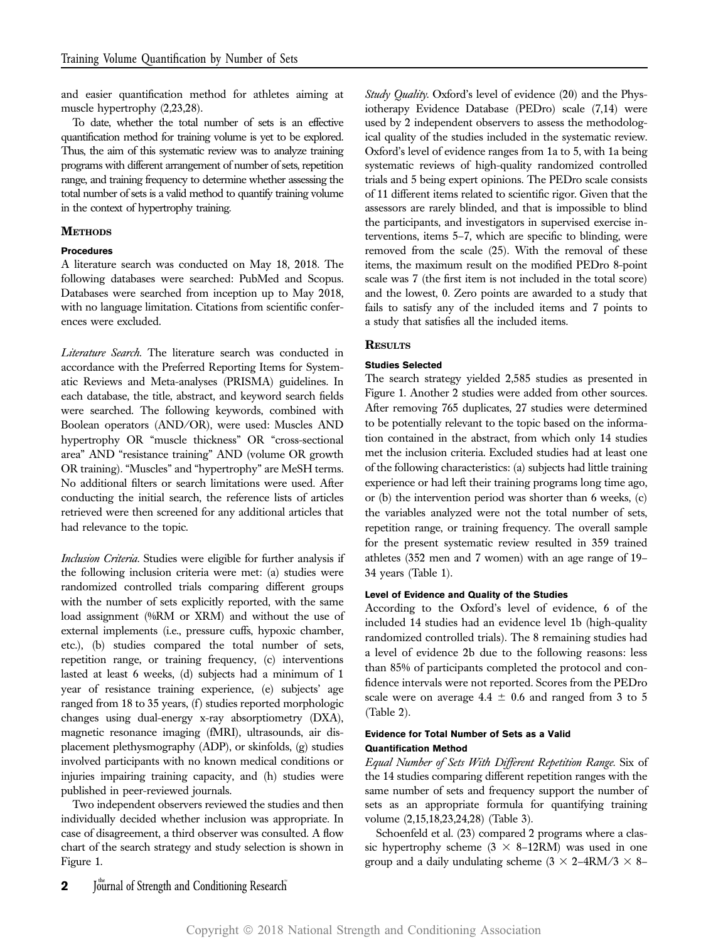and easier quantification method for athletes aiming at muscle hypertrophy (2,23,28).

To date, whether the total number of sets is an effective quantification method for training volume is yet to be explored. Thus, the aim of this systematic review was to analyze training programs with different arrangement of number of sets, repetition range, and training frequency to determine whether assessing the total number of sets is a valid method to quantify training volume in the context of hypertrophy training.

# **METHODS**

# Procedures

A literature search was conducted on May 18, 2018. The following databases were searched: PubMed and Scopus. Databases were searched from inception up to May 2018, with no language limitation. Citations from scientific conferences were excluded.

Literature Search. The literature search was conducted in accordance with the Preferred Reporting Items for Systematic Reviews and Meta-analyses (PRISMA) guidelines. In each database, the title, abstract, and keyword search fields were searched. The following keywords, combined with Boolean operators (AND/OR), were used: Muscles AND hypertrophy OR "muscle thickness" OR "cross-sectional area" AND "resistance training" AND (volume OR growth OR training). "Muscles" and "hypertrophy" are MeSH terms. No additional filters or search limitations were used. After conducting the initial search, the reference lists of articles retrieved were then screened for any additional articles that had relevance to the topic.

Inclusion Criteria. Studies were eligible for further analysis if the following inclusion criteria were met: (a) studies were randomized controlled trials comparing different groups with the number of sets explicitly reported, with the same load assignment (%RM or XRM) and without the use of external implements (i.e., pressure cuffs, hypoxic chamber, etc.), (b) studies compared the total number of sets, repetition range, or training frequency, (c) interventions lasted at least 6 weeks, (d) subjects had a minimum of 1 year of resistance training experience, (e) subjects' age ranged from 18 to 35 years, (f) studies reported morphologic changes using dual-energy x-ray absorptiometry (DXA), magnetic resonance imaging (fMRI), ultrasounds, air displacement plethysmography (ADP), or skinfolds, (g) studies involved participants with no known medical conditions or injuries impairing training capacity, and (h) studies were published in peer-reviewed journals.

Two independent observers reviewed the studies and then individually decided whether inclusion was appropriate. In case of disagreement, a third observer was consulted. A flow chart of the search strategy and study selection is shown in Figure 1.

Study Quality. Oxford's level of evidence (20) and the Physiotherapy Evidence Database (PEDro) scale (7,14) were used by 2 independent observers to assess the methodological quality of the studies included in the systematic review. Oxford's level of evidence ranges from 1a to 5, with 1a being systematic reviews of high-quality randomized controlled trials and 5 being expert opinions. The PEDro scale consists of 11 different items related to scientific rigor. Given that the assessors are rarely blinded, and that is impossible to blind the participants, and investigators in supervised exercise interventions, items 5–7, which are specific to blinding, were removed from the scale (25). With the removal of these items, the maximum result on the modified PEDro 8-point scale was 7 (the first item is not included in the total score) and the lowest, 0. Zero points are awarded to a study that fails to satisfy any of the included items and 7 points to a study that satisfies all the included items.

# **RESULTS**

# Studies Selected

The search strategy yielded 2,585 studies as presented in Figure 1. Another 2 studies were added from other sources. After removing 765 duplicates, 27 studies were determined to be potentially relevant to the topic based on the information contained in the abstract, from which only 14 studies met the inclusion criteria. Excluded studies had at least one of the following characteristics: (a) subjects had little training experience or had left their training programs long time ago, or (b) the intervention period was shorter than 6 weeks, (c) the variables analyzed were not the total number of sets, repetition range, or training frequency. The overall sample for the present systematic review resulted in 359 trained athletes (352 men and 7 women) with an age range of 19– 34 years (Table 1).

# Level of Evidence and Quality of the Studies

According to the Oxford's level of evidence, 6 of the included 14 studies had an evidence level 1b (high-quality randomized controlled trials). The 8 remaining studies had a level of evidence 2b due to the following reasons: less than 85% of participants completed the protocol and confidence intervals were not reported. Scores from the PEDro scale were on average  $4.4 \pm 0.6$  and ranged from 3 to 5 (Table 2).

# Evidence for Total Number of Sets as a Valid Quantification Method

Equal Number of Sets With Different Repetition Range. Six of the 14 studies comparing different repetition ranges with the same number of sets and frequency support the number of sets as an appropriate formula for quantifying training volume (2,15,18,23,24,28) (Table 3).

Schoenfeld et al. (23) compared 2 programs where a classic hypertrophy scheme  $(3 \times 8-12RM)$  was used in one group and a daily undulating scheme  $(3 \times 2-4RM/3 \times 8-1)$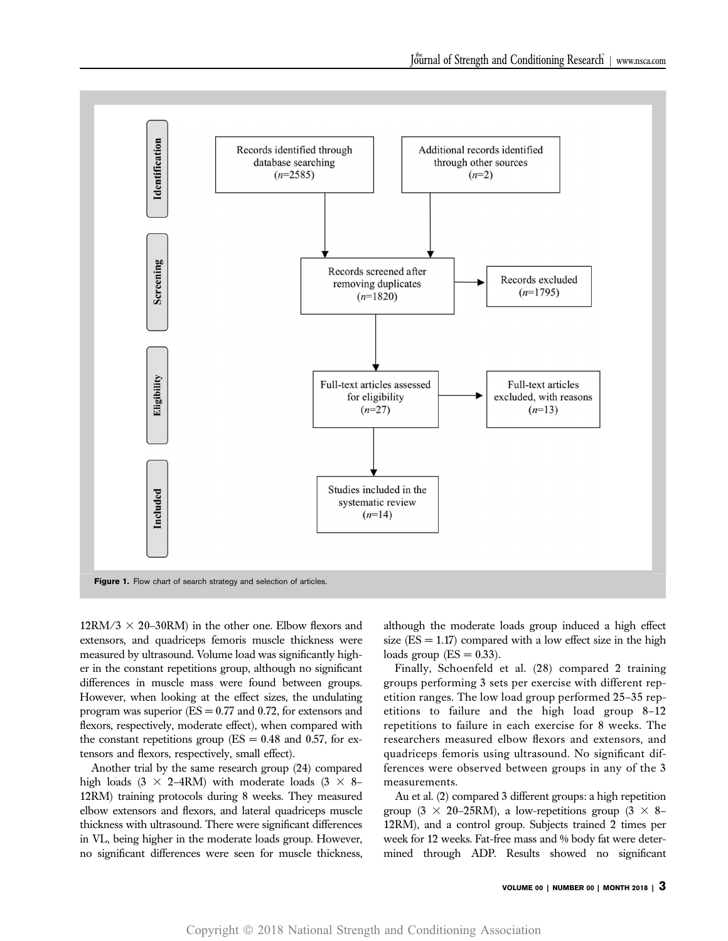

 $12RM/3 \times 20-30RM$ ) in the other one. Elbow flexors and extensors, and quadriceps femoris muscle thickness were measured by ultrasound. Volume load was significantly higher in the constant repetitions group, although no significant differences in muscle mass were found between groups. However, when looking at the effect sizes, the undulating program was superior  $(ES = 0.77$  and 0.72, for extensors and flexors, respectively, moderate effect), when compared with the constant repetitions group ( $ES = 0.48$  and 0.57, for extensors and flexors, respectively, small effect).

Another trial by the same research group (24) compared high loads (3  $\times$  2–4RM) with moderate loads (3  $\times$  8– 12RM) training protocols during 8 weeks. They measured elbow extensors and flexors, and lateral quadriceps muscle thickness with ultrasound. There were significant differences in VL, being higher in the moderate loads group. However, no significant differences were seen for muscle thickness,

although the moderate loads group induced a high effect size  $(ES = 1.17)$  compared with a low effect size in the high loads group  $(ES = 0.33)$ .

Finally, Schoenfeld et al. (28) compared 2 training groups performing 3 sets per exercise with different repetition ranges. The low load group performed 25–35 repetitions to failure and the high load group 8–12 repetitions to failure in each exercise for 8 weeks. The researchers measured elbow flexors and extensors, and quadriceps femoris using ultrasound. No significant differences were observed between groups in any of the 3 measurements.

Au et al. (2) compared 3 different groups: a high repetition group (3  $\times$  20–25RM), a low-repetitions group (3  $\times$  8– 12RM), and a control group. Subjects trained 2 times per week for 12 weeks. Fat-free mass and % body fat were determined through ADP. Results showed no significant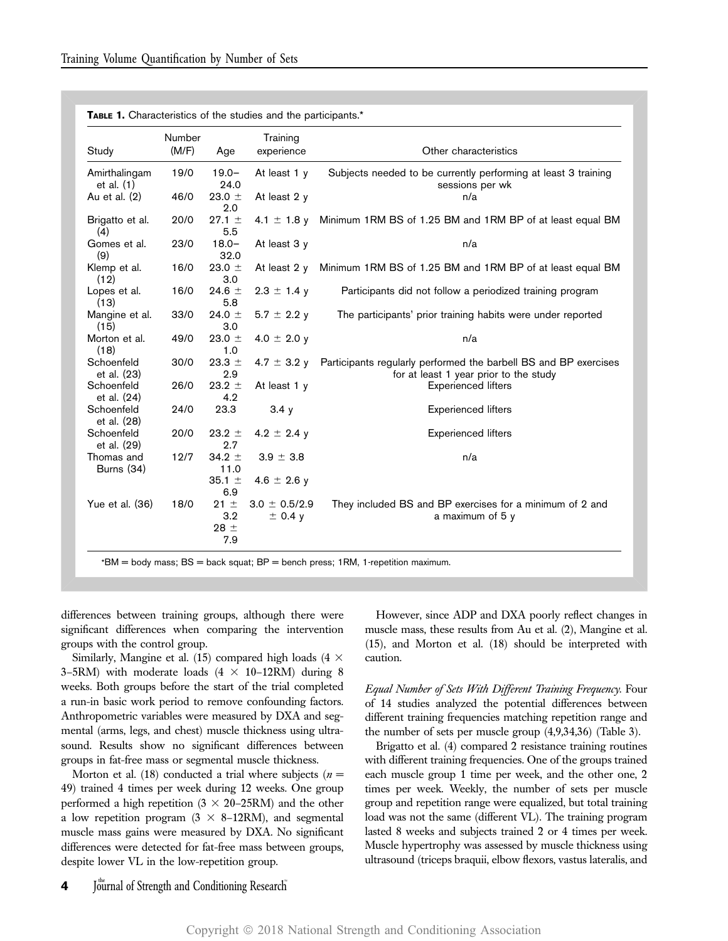| Study                         | Number<br>(M/F) | Age                                | Training<br>experience         | Other characteristics                                                                                      |
|-------------------------------|-----------------|------------------------------------|--------------------------------|------------------------------------------------------------------------------------------------------------|
| Amirthalingam<br>et al. $(1)$ | 19/0            | $19.0 -$<br>24.0                   | At least $1 y$                 | Subjects needed to be currently performing at least 3 training<br>sessions per wk                          |
| Au et al. (2)                 | 46/0            | 23.0 $\pm$<br>2.0                  | At least 2 y                   | n/a                                                                                                        |
| Brigatto et al.<br>(4)        | 20/0            | $27.1 \pm$<br>5.5                  | 4.1 $\pm$ 1.8 y                | Minimum 1RM BS of 1.25 BM and 1RM BP of at least equal BM                                                  |
| Gomes et al.<br>(9)           | 23/0            | $18.0 -$<br>32.0                   | At least 3 y                   | n/a                                                                                                        |
| Klemp et al.<br>(12)          | 16/0            | 23.0 $\pm$<br>3.0                  | At least 2 y                   | Minimum 1RM BS of 1.25 BM and 1RM BP of at least equal BM                                                  |
| Lopes et al.<br>(13)          | 16/0            | 24.6 $\pm$<br>5.8                  | $2.3 \pm 1.4$ y                | Participants did not follow a periodized training program                                                  |
| Mangine et al.<br>(15)        | 33/0            | 24.0 $\pm$<br>3.0                  | $5.7 \pm 2.2$ y                | The participants' prior training habits were under reported                                                |
| Morton et al.<br>(18)         | 49/0            | 23.0 $\pm$<br>1.0                  | 4.0 $\pm$ 2.0 y                | n/a                                                                                                        |
| Schoenfeld<br>et al. (23)     | 30/0            | 23.3 $\pm$<br>2.9                  | 4.7 $\pm$ 3.2 y                | Participants regularly performed the barbell BS and BP exercises<br>for at least 1 year prior to the study |
| Schoenfeld<br>et al. (24)     | 26/0            | $23.2 \pm$<br>4.2                  | At least 1 y                   | <b>Experienced lifters</b>                                                                                 |
| Schoenfeld<br>et al. (28)     | 24/0            | 23.3                               | 3.4y                           | <b>Experienced lifters</b>                                                                                 |
| Schoenfeld<br>et al. (29)     | 20/0            | $23.2 \pm$<br>2.7                  | 4.2 $\pm$ 2.4 y                | <b>Experienced lifters</b>                                                                                 |
| Thomas and<br>Burns (34)      | 12/7            | 34.2 $\pm$<br>11.0                 | $3.9 \pm 3.8$                  | n/a                                                                                                        |
|                               |                 | 35.1 $\pm$<br>6.9                  | 4.6 $\pm$ 2.6 y                |                                                                                                            |
| Yue et al. (36)               | 18/0            | $21 \pm$<br>3.2<br>$28 \pm$<br>7.9 | $3.0 \pm 0.5/2.9$<br>$±$ 0.4 y | They included BS and BP exercises for a minimum of 2 and<br>a maximum of 5 y                               |

 $BF =$  bench press; 1RM, 1-repetition maximum.

differences between training groups, although there were significant differences when comparing the intervention groups with the control group.

Similarly, Mangine et al. (15) compared high loads (4  $\times$ 3–5RM) with moderate loads  $(4 \times 10$ –12RM) during 8 weeks. Both groups before the start of the trial completed a run-in basic work period to remove confounding factors. Anthropometric variables were measured by DXA and segmental (arms, legs, and chest) muscle thickness using ultrasound. Results show no significant differences between groups in fat-free mass or segmental muscle thickness.

Morton et al. (18) conducted a trial where subjects ( $n =$ 49) trained 4 times per week during 12 weeks. One group performed a high repetition  $(3 \times 20-25\text{RM})$  and the other a low repetition program  $(3 \times 8-12RM)$ , and segmental muscle mass gains were measured by DXA. No significant differences were detected for fat-free mass between groups, despite lower VL in the low-repetition group.

However, since ADP and DXA poorly reflect changes in muscle mass, these results from Au et al. (2), Mangine et al. (15), and Morton et al. (18) should be interpreted with caution.

Equal Number of Sets With Different Training Frequency. Four of 14 studies analyzed the potential differences between different training frequencies matching repetition range and the number of sets per muscle group (4,9,34,36) (Table 3).

Brigatto et al. (4) compared 2 resistance training routines with different training frequencies. One of the groups trained each muscle group 1 time per week, and the other one, 2 times per week. Weekly, the number of sets per muscle group and repetition range were equalized, but total training load was not the same (different VL). The training program lasted 8 weeks and subjects trained 2 or 4 times per week. Muscle hypertrophy was assessed by muscle thickness using ultrasound (triceps braquii, elbow flexors, vastus lateralis, and

# 4 Journal of Strength and Conditioning Research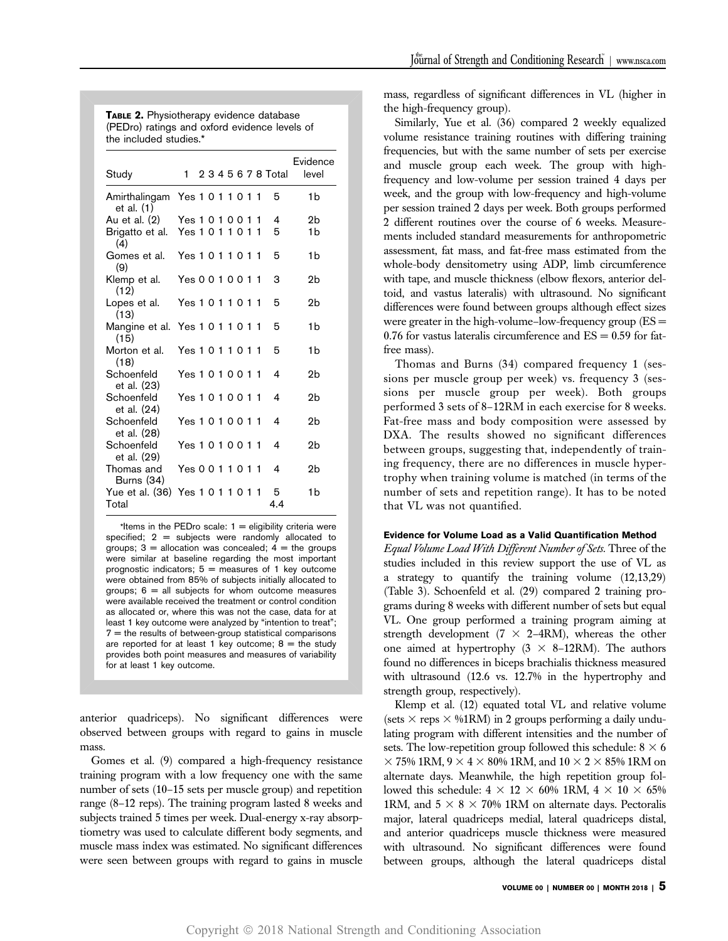TABLE 2. Physiotherapy evidence database (PEDro) ratings and oxford evidence levels of the included studies.\*

| Study                                         | 1                 |  |  |  | 2 3 4 5 6 7 8 Total | Evidence<br>level |
|-----------------------------------------------|-------------------|--|--|--|---------------------|-------------------|
| Amirthalingam Yes 1 0 1 1 0 1 1<br>et al. (1) |                   |  |  |  | 5                   | 1b                |
| Au et al. (2) Yes 1 0 1 0 0 1 1               |                   |  |  |  | 4                   | 2b                |
| Brigatto et al. Yes 1 0 1 1 0 1 1<br>(4)      |                   |  |  |  | 5                   | 1b                |
| Gomes et al.<br>(9)                           | Yes 1011011       |  |  |  | 5                   | 1b                |
| Klemp et al.<br>(12)                          | Yes 0 0 1 0 0 1 1 |  |  |  | 3                   | 2b                |
| Lopes et al.<br>(13)                          | Yes 1011011       |  |  |  | 5                   | 2h                |
| Mangine et al. Yes 1 0 1 1 0 1 1<br>(15)      |                   |  |  |  | 5                   | 1b                |
| Morton et al.<br>(18)                         | Yes 1 0 1 1 0 1 1 |  |  |  | 5                   | 1b                |
| Schoenfeld<br>et al. (23)                     | Yes 1 0 1 0 0 1 1 |  |  |  | 4                   | 2b                |
| Schoenfeld<br>et al. (24)                     | Yes 1 0 1 0 0 1 1 |  |  |  | 4                   | 2h                |
| Schoenfeld<br>et al. (28)                     | Yes 1 0 1 0 0 1 1 |  |  |  | 4                   | 2b                |
| Schoenfeld<br>et al. (29)                     | Yes 1 0 1 0 0 1 1 |  |  |  | 4                   | 2b                |
| Thomas and<br>Burns (34)                      | Yes 0 0 1 1 0 1 1 |  |  |  | 4                   | 2b                |
| Yue et al. (36) Yes 1 0 1 1 0 1 1<br>Total    |                   |  |  |  | 5<br>4.4            | 1b                |

\*Items in the PEDro scale:  $1 =$  eligibility criteria were specified;  $2 =$  subjects were randomly allocated to groups;  $3 =$  allocation was concealed;  $4 =$  the groups were similar at baseline regarding the most important prognostic indicators:  $5 =$  measures of 1 key outcome were obtained from 85% of subjects initially allocated to groups;  $6 =$  all subjects for whom outcome measures were available received the treatment or control condition as allocated or, where this was not the case, data for at least 1 key outcome were analyzed by "intention to treat";  $7$  = the results of between-group statistical comparisons are reported for at least 1 key outcome;  $8 =$  the study provides both point measures and measures of variability for at least 1 key outcome.

anterior quadriceps). No significant differences were observed between groups with regard to gains in muscle mass.

Gomes et al. (9) compared a high-frequency resistance training program with a low frequency one with the same number of sets (10–15 sets per muscle group) and repetition range (8–12 reps). The training program lasted 8 weeks and subjects trained 5 times per week. Dual-energy x-ray absorptiometry was used to calculate different body segments, and muscle mass index was estimated. No significant differences were seen between groups with regard to gains in muscle mass, regardless of significant differences in VL (higher in the high-frequency group).

Similarly, Yue et al. (36) compared 2 weekly equalized volume resistance training routines with differing training frequencies, but with the same number of sets per exercise and muscle group each week. The group with highfrequency and low-volume per session trained 4 days per week, and the group with low-frequency and high-volume per session trained 2 days per week. Both groups performed 2 different routines over the course of 6 weeks. Measurements included standard measurements for anthropometric assessment, fat mass, and fat-free mass estimated from the whole-body densitometry using ADP, limb circumference with tape, and muscle thickness (elbow flexors, anterior deltoid, and vastus lateralis) with ultrasound. No significant differences were found between groups although effect sizes were greater in the high-volume–low-frequency group  $(ES =$ 0.76 for vastus lateralis circumference and  $ES = 0.59$  for fatfree mass).

Thomas and Burns (34) compared frequency 1 (sessions per muscle group per week) vs. frequency 3 (sessions per muscle group per week). Both groups performed 3 sets of 8–12RM in each exercise for 8 weeks. Fat-free mass and body composition were assessed by DXA. The results showed no significant differences between groups, suggesting that, independently of training frequency, there are no differences in muscle hypertrophy when training volume is matched (in terms of the number of sets and repetition range). It has to be noted that VL was not quantified.

# Evidence for Volume Load as a Valid Quantification Method

Equal Volume Load With Different Number of Sets. Three of the studies included in this review support the use of VL as a strategy to quantify the training volume (12,13,29) (Table 3). Schoenfeld et al. (29) compared 2 training programs during 8 weeks with different number of sets but equal VL. One group performed a training program aiming at strength development ( $7 \times 2-4RM$ ), whereas the other one aimed at hypertrophy  $(3 \times 8-12RM)$ . The authors found no differences in biceps brachialis thickness measured with ultrasound (12.6 vs. 12.7% in the hypertrophy and strength group, respectively).

Klemp et al. (12) equated total VL and relative volume (sets  $\times$  reps  $\times$  %1RM) in 2 groups performing a daily undulating program with different intensities and the number of sets. The low-repetition group followed this schedule:  $8 \times 6$  $3 \times 75\%$  1RM, 9  $\times$  4  $\times$  80% 1RM, and 10  $\times$  2  $\times$  85% 1RM on alternate days. Meanwhile, the high repetition group followed this schedule:  $4 \times 12 \times 60\%$  1RM,  $4 \times 10 \times 65\%$ 1RM, and  $5 \times 8 \times 70\%$  1RM on alternate days. Pectoralis major, lateral quadriceps medial, lateral quadriceps distal, and anterior quadriceps muscle thickness were measured with ultrasound. No significant differences were found between groups, although the lateral quadriceps distal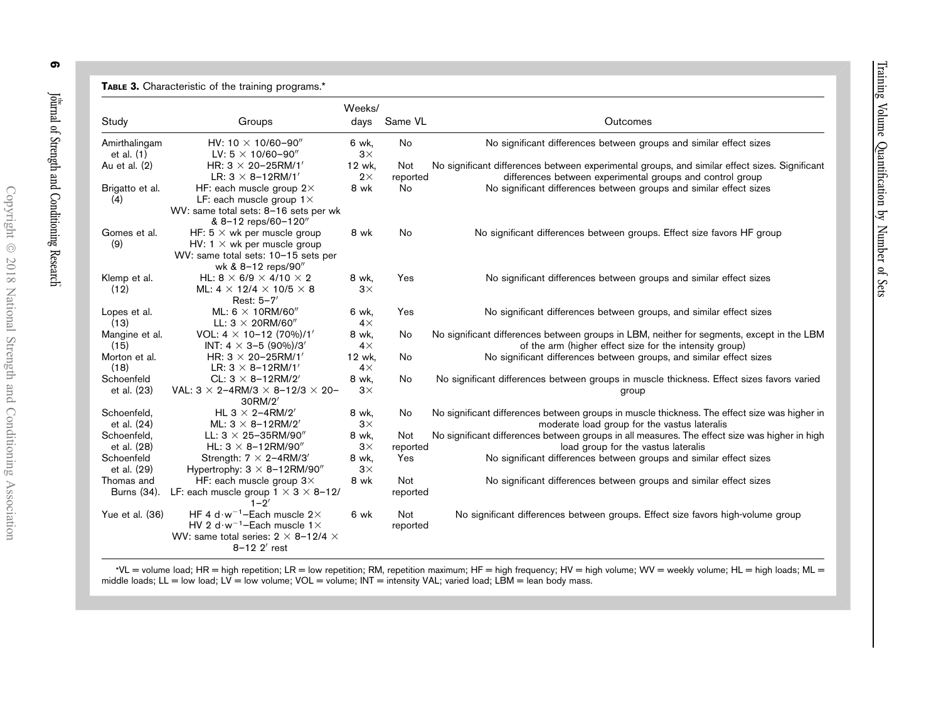| Study                         | Groups                                                                                                                                                                    | Weeks/<br>days      | Same VL         | Outcomes                                                                                                                                                   |
|-------------------------------|---------------------------------------------------------------------------------------------------------------------------------------------------------------------------|---------------------|-----------------|------------------------------------------------------------------------------------------------------------------------------------------------------------|
|                               |                                                                                                                                                                           |                     |                 |                                                                                                                                                            |
| Amirthalingam<br>et al. $(1)$ | HV: 10 $\times$ 10/60-90"<br>LV: $5 \times 10/60 - 90''$                                                                                                                  | 6 wk,<br>$3\times$  | No              | No significant differences between groups and similar effect sizes                                                                                         |
| Au et al. (2)                 | HR: $3 \times 20 - 25$ RM/1'<br>LR: $3 \times 8 - 12$ RM/1'                                                                                                               | 12 wk,<br>$2\times$ | Not<br>reported | No significant differences between experimental groups, and similar effect sizes. Significant<br>differences between experimental groups and control group |
| Brigatto et al.<br>(4)        | HF: each muscle group $2\times$<br>LF: each muscle group $1 \times$<br>WV: same total sets: 8-16 sets per wk<br>& 8-12 reps/60-120"                                       | 8 wk                | <b>No</b>       | No significant differences between groups and similar effect sizes                                                                                         |
| Gomes et al.<br>(9)           | HF: $5 \times$ wk per muscle group<br>HV: $1 \times$ wk per muscle group<br>WV: same total sets: 10-15 sets per<br>wk & 8-12 reps/90"                                     | 8 wk                | No              | No significant differences between groups. Effect size favors HF group                                                                                     |
| Klemp et al.<br>(12)          | HL: 8 $\times$ 6/9 $\times$ 4/10 $\times$ 2<br>ML: $4 \times 12/4 \times 10/5 \times 8$<br>Rest: $5-7'$                                                                   | 8 wk,<br>$3\times$  | Yes             | No significant differences between groups and similar effect sizes                                                                                         |
| Lopes et al.<br>(13)          | ML: 6 $\times$ 10RM/60"<br>LL: $3 \times 20$ RM/60"                                                                                                                       | 6 wk,<br>$4\times$  | Yes             | No significant differences between groups, and similar effect sizes                                                                                        |
| Mangine et al.<br>(15)        | VOL: $4 \times 10 - 12 (70\%)/1'$<br>INT: 4 $\times$ 3-5 (90%)/3'                                                                                                         | 8 wk,<br>$4\times$  | No              | No significant differences between groups in LBM, neither for segments, except in the LBM<br>of the arm (higher effect size for the intensity group)       |
| Morton et al.<br>(18)         | HR: $3 \times 20 - 25$ RM/1'<br>LR: $3 \times 8 - 12$ RM/1'                                                                                                               | 12 wk,<br>$4\times$ | No              | No significant differences between groups, and similar effect sizes                                                                                        |
| Schoenfeld<br>et al. (23)     | CL: $3 \times 8 - 12$ RM/2'<br>VAL: $3 \times 2 - 4$ RM/3 $\times 8 - 12/3 \times 20 -$<br>30RM/2                                                                         | 8 wk,<br>$3\times$  | No              | No significant differences between groups in muscle thickness. Effect sizes favors varied<br>group                                                         |
| Schoenfeld,<br>et al. (24)    | HL 3 $\times$ 2-4RM/2'<br>ML: $3 \times 8 - 12$ RM/2'                                                                                                                     | 8 wk,<br>$3\times$  | No              | No significant differences between groups in muscle thickness. The effect size was higher in<br>moderate load group for the vastus lateralis               |
| Schoenfeld,<br>et al. (28)    | LL: $3 \times 25 - 35$ RM/90"<br>HL: $3 \times 8 - 12$ RM/90"                                                                                                             | 8 wk,<br>$3\times$  | Not<br>reported | No significant differences between groups in all measures. The effect size was higher in high<br>load group for the vastus lateralis                       |
| Schoenfeld<br>et al. (29)     | Strength: $7 \times 2 - 4$ RM/3'<br>Hypertrophy: $3 \times 8 - 12$ RM/90"                                                                                                 | 8 wk,<br>$3\times$  | Yes             | No significant differences between groups and similar effect sizes                                                                                         |
| Thomas and<br>Burns (34).     | HF: each muscle group $3\times$<br>LF: each muscle group $1 \times 3 \times 8$ -12/<br>$1 - 2'$                                                                           | 8 wk                | Not<br>reported | No significant differences between groups and similar effect sizes                                                                                         |
| Yue et al. (36)               | HF 4 d $\cdot w^{-1}$ -Each muscle 2 $\times$<br>HV 2 d $\cdot w^{-1}$ -Each muscle 1 $\times$<br>WV: same total series: $2 \times 8 - 12/4 \times$<br>$8 - 12$ $2'$ rest | 6 wk                | Not<br>reported | No significant differences between groups. Effect size favors high-volume group                                                                            |

\*VL <sup>=</sup> volume load; HR <sup>=</sup> high repetition; LR <sup>=</sup> low repetition; RM, repetition maximum; HF <sup>=</sup> high frequency; HV <sup>=</sup> high volume; WV <sup>=</sup> weekly volume; HL <sup>=</sup> high loads; ML <sup>=</sup> middle loads; LL = low load; LV = low volume; VOL = volume; INT = intensity VAL; varied load; LBM = lean body mass.

6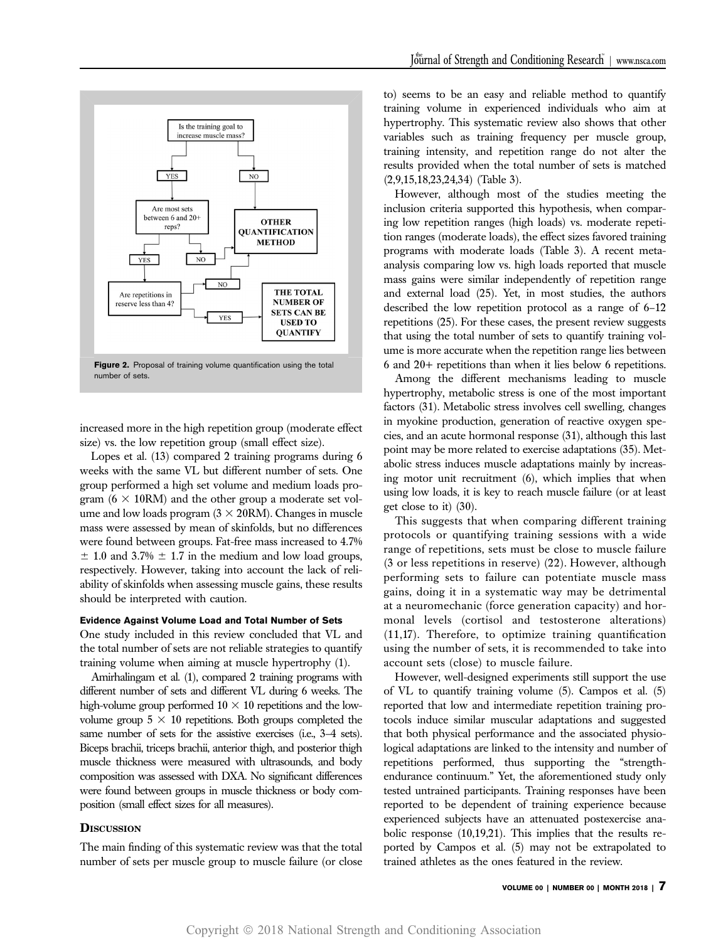

increased more in the high repetition group (moderate effect size) vs. the low repetition group (small effect size).

Lopes et al. (13) compared 2 training programs during 6 weeks with the same VL but different number of sets. One group performed a high set volume and medium loads program  $(6 \times 10$ RM) and the other group a moderate set volume and low loads program  $(3 \times 20$ RM). Changes in muscle mass were assessed by mean of skinfolds, but no differences were found between groups. Fat-free mass increased to 4.7%  $\pm$  1.0 and 3.7%  $\pm$  1.7 in the medium and low load groups, respectively. However, taking into account the lack of reliability of skinfolds when assessing muscle gains, these results should be interpreted with caution.

# Evidence Against Volume Load and Total Number of Sets

One study included in this review concluded that VL and the total number of sets are not reliable strategies to quantify training volume when aiming at muscle hypertrophy (1).

Amirhalingam et al. (1), compared 2 training programs with different number of sets and different VL during 6 weeks. The high-volume group performed  $10 \times 10$  repetitions and the lowvolume group  $5 \times 10$  repetitions. Both groups completed the same number of sets for the assistive exercises (i.e., 3–4 sets). Biceps brachii, triceps brachii, anterior thigh, and posterior thigh muscle thickness were measured with ultrasounds, and body composition was assessed with DXA. No significant differences were found between groups in muscle thickness or body composition (small effect sizes for all measures).

# **DISCUSSION**

The main finding of this systematic review was that the total number of sets per muscle group to muscle failure (or close

to) seems to be an easy and reliable method to quantify training volume in experienced individuals who aim at hypertrophy. This systematic review also shows that other variables such as training frequency per muscle group, training intensity, and repetition range do not alter the results provided when the total number of sets is matched (2,9,15,18,23,24,34) (Table 3).

However, although most of the studies meeting the inclusion criteria supported this hypothesis, when comparing low repetition ranges (high loads) vs. moderate repetition ranges (moderate loads), the effect sizes favored training programs with moderate loads (Table 3). A recent metaanalysis comparing low vs. high loads reported that muscle mass gains were similar independently of repetition range and external load (25). Yet, in most studies, the authors described the low repetition protocol as a range of 6–12 repetitions (25). For these cases, the present review suggests that using the total number of sets to quantify training volume is more accurate when the repetition range lies between 6 and 20+ repetitions than when it lies below 6 repetitions.

Among the different mechanisms leading to muscle hypertrophy, metabolic stress is one of the most important factors (31). Metabolic stress involves cell swelling, changes in myokine production, generation of reactive oxygen species, and an acute hormonal response (31), although this last point may be more related to exercise adaptations (35). Metabolic stress induces muscle adaptations mainly by increasing motor unit recruitment (6), which implies that when using low loads, it is key to reach muscle failure (or at least get close to it) (30).

This suggests that when comparing different training protocols or quantifying training sessions with a wide range of repetitions, sets must be close to muscle failure (3 or less repetitions in reserve) (22). However, although performing sets to failure can potentiate muscle mass gains, doing it in a systematic way may be detrimental at a neuromechanic (force generation capacity) and hormonal levels (cortisol and testosterone alterations) (11,17). Therefore, to optimize training quantification using the number of sets, it is recommended to take into account sets (close) to muscle failure.

However, well-designed experiments still support the use of VL to quantify training volume (5). Campos et al. (5) reported that low and intermediate repetition training protocols induce similar muscular adaptations and suggested that both physical performance and the associated physiological adaptations are linked to the intensity and number of repetitions performed, thus supporting the "strengthendurance continuum." Yet, the aforementioned study only tested untrained participants. Training responses have been reported to be dependent of training experience because experienced subjects have an attenuated postexercise anabolic response (10,19,21). This implies that the results reported by Campos et al. (5) may not be extrapolated to trained athletes as the ones featured in the review.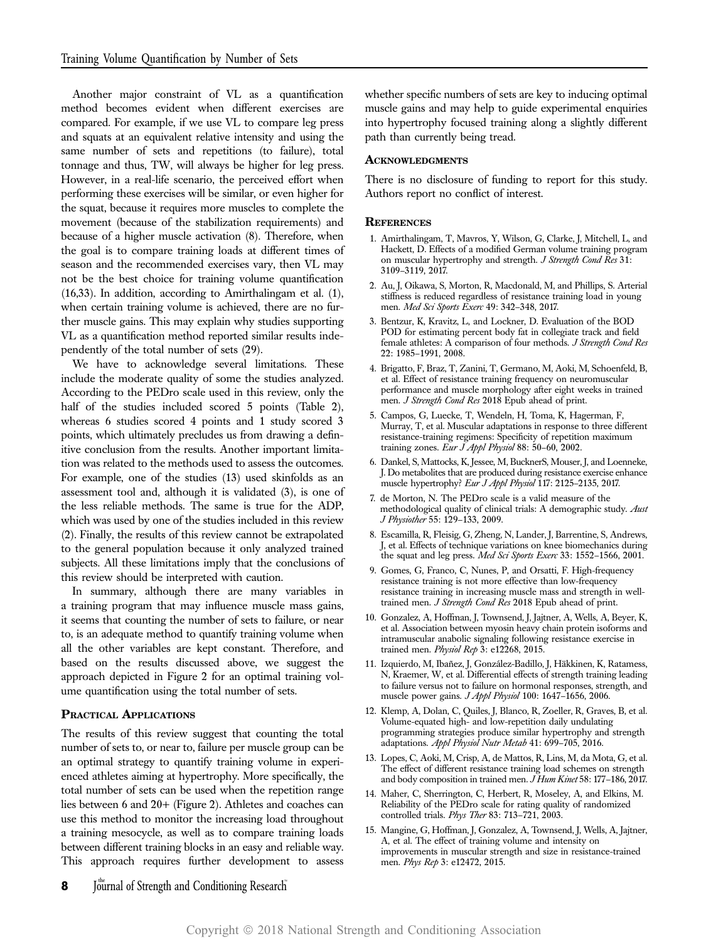Another major constraint of VL as a quantification method becomes evident when different exercises are compared. For example, if we use VL to compare leg press and squats at an equivalent relative intensity and using the same number of sets and repetitions (to failure), total tonnage and thus, TW, will always be higher for leg press. However, in a real-life scenario, the perceived effort when performing these exercises will be similar, or even higher for the squat, because it requires more muscles to complete the movement (because of the stabilization requirements) and because of a higher muscle activation (8). Therefore, when the goal is to compare training loads at different times of season and the recommended exercises vary, then VL may not be the best choice for training volume quantification (16,33). In addition, according to Amirthalingam et al. (1), when certain training volume is achieved, there are no further muscle gains. This may explain why studies supporting VL as a quantification method reported similar results independently of the total number of sets (29).

We have to acknowledge several limitations. These include the moderate quality of some the studies analyzed. According to the PEDro scale used in this review, only the half of the studies included scored 5 points (Table 2), whereas 6 studies scored 4 points and 1 study scored 3 points, which ultimately precludes us from drawing a definitive conclusion from the results. Another important limitation was related to the methods used to assess the outcomes. For example, one of the studies (13) used skinfolds as an assessment tool and, although it is validated (3), is one of the less reliable methods. The same is true for the ADP, which was used by one of the studies included in this review (2). Finally, the results of this review cannot be extrapolated to the general population because it only analyzed trained subjects. All these limitations imply that the conclusions of this review should be interpreted with caution.

In summary, although there are many variables in a training program that may influence muscle mass gains, it seems that counting the number of sets to failure, or near to, is an adequate method to quantify training volume when all the other variables are kept constant. Therefore, and based on the results discussed above, we suggest the approach depicted in Figure 2 for an optimal training volume quantification using the total number of sets.

#### PRACTICAL APPLICATIONS

The results of this review suggest that counting the total number of sets to, or near to, failure per muscle group can be an optimal strategy to quantify training volume in experienced athletes aiming at hypertrophy. More specifically, the total number of sets can be used when the repetition range lies between 6 and 20+ (Figure 2). Athletes and coaches can use this method to monitor the increasing load throughout a training mesocycle, as well as to compare training loads between different training blocks in an easy and reliable way. This approach requires further development to assess whether specific numbers of sets are key to inducing optimal muscle gains and may help to guide experimental enquiries into hypertrophy focused training along a slightly different path than currently being tread.

#### **ACKNOWLEDGMENTS**

There is no disclosure of funding to report for this study. Authors report no conflict of interest.

#### **REFERENCES**

- 1. Amirthalingam, T, Mavros, Y, Wilson, G, Clarke, J, Mitchell, L, and Hackett, D. Effects of a modified German volume training program on muscular hypertrophy and strength. J Strength Cond Res 31: 3109–3119, 2017.
- 2. Au, J, Oikawa, S, Morton, R, Macdonald, M, and Phillips, S. Arterial stiffness is reduced regardless of resistance training load in young men. Med Sci Sports Exerc 49: 342–348, 2017.
- 3. Bentzur, K, Kravitz, L, and Lockner, D. Evaluation of the BOD POD for estimating percent body fat in collegiate track and field female athletes: A comparison of four methods. J Strength Cond Res 22: 1985–1991, 2008.
- 4. Brigatto, F, Braz, T, Zanini, T, Germano, M, Aoki, M, Schoenfeld, B, et al. Effect of resistance training frequency on neuromuscular performance and muscle morphology after eight weeks in trained men. J Strength Cond Res 2018 Epub ahead of print.
- 5. Campos, G, Luecke, T, Wendeln, H, Toma, K, Hagerman, F, Murray, T, et al. Muscular adaptations in response to three different resistance-training regimens: Specificity of repetition maximum training zones. Eur J Appl Physiol 88: 50-60, 2002.
- 6. Dankel, S, Mattocks, K, Jessee, M, BucknerS, Mouser, J, and Loenneke, J. Do metabolites that are produced during resistance exercise enhance muscle hypertrophy? Eur J Appl Physiol 117: 2125-2135, 2017.
- 7. de Morton, N. The PEDro scale is a valid measure of the methodological quality of clinical trials: A demographic study. Aust J Physiother 55: 129–133, 2009.
- 8. Escamilla, R, Fleisig, G, Zheng, N, Lander, J, Barrentine, S, Andrews, J, et al. Effects of technique variations on knee biomechanics during the squat and leg press. Med Sci Sports Exerc 33: 1552-1566, 2001.
- 9. Gomes, G, Franco, C, Nunes, P, and Orsatti, F. High-frequency resistance training is not more effective than low-frequency resistance training in increasing muscle mass and strength in welltrained men. J Strength Cond Res 2018 Epub ahead of print.
- 10. Gonzalez, A, Hoffman, J, Townsend, J, Jajtner, A, Wells, A, Beyer, K, et al. Association between myosin heavy chain protein isoforms and intramuscular anabolic signaling following resistance exercise in trained men. Physiol Rep  $3$ : e12268, 2015.
- 11. Izquierdo, M, Ibañez, J, González-Badillo, J, Häkkinen, K, Ratamess, N, Kraemer, W, et al. Differential effects of strength training leading to failure versus not to failure on hormonal responses, strength, and muscle power gains. J Appl Physiol 100: 1647–1656, 2006.
- 12. Klemp, A, Dolan, C, Quiles, J, Blanco, R, Zoeller, R, Graves, B, et al. Volume-equated high- and low-repetition daily undulating programming strategies produce similar hypertrophy and strength adaptations. Appl Physiol Nutr Metab 41: 699-705, 2016.
- 13. Lopes, C, Aoki, M, Crisp, A, de Mattos, R, Lins, M, da Mota, G, et al. The effect of different resistance training load schemes on strength and body composition in trained men. J Hum Kinet 58: 177-186, 2017.
- 14. Maher, C, Sherrington, C, Herbert, R, Moseley, A, and Elkins, M. Reliability of the PEDro scale for rating quality of randomized controlled trials. Phys Ther 83: 713–721, 2003.
- 15. Mangine, G, Hoffman, J, Gonzalez, A, Townsend, J, Wells, A, Jajtner, A, et al. The effect of training volume and intensity on improvements in muscular strength and size in resistance-trained men. Phys Rep 3: e12472, 2015.
- 8 Journal of Strength and Conditioning Research